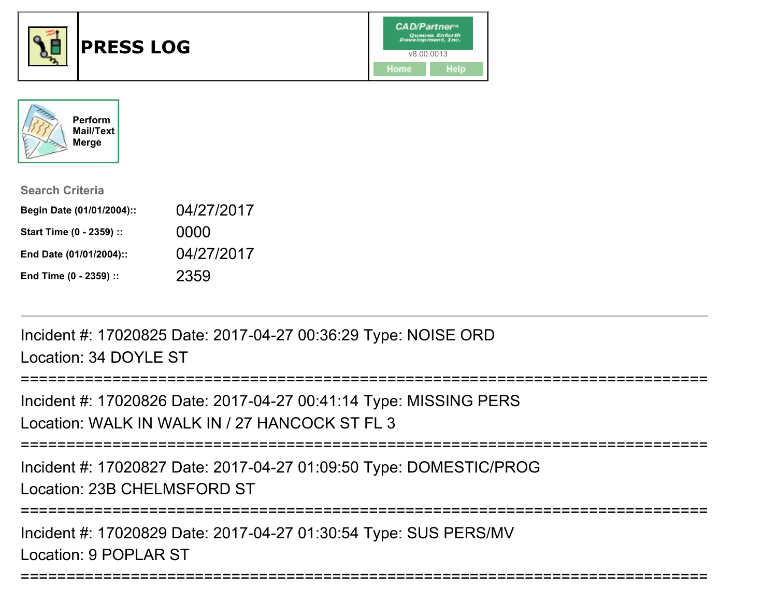



| <b>Search Criteria</b>    |            |
|---------------------------|------------|
| Begin Date (01/01/2004):: | 04/27/2017 |
| Start Time (0 - 2359) ::  | 0000       |
| End Date (01/01/2004)::   | 04/27/2017 |
| End Time (0 - 2359) ::    | 2359       |

Incident #: 17020825 Date: 2017-04-27 00:36:29 Type: NOISE ORDLocation: 34 DOYLE ST

```
===========================================================================Incident #: 17020826 Date: 2017-04-27 00:41:14 Type: MISSING PERSLocation: WALK IN WALK IN / 27 HANCOCK ST FL 3
```
===========================================================================

Incident #: 17020827 Date: 2017-04-27 01:09:50 Type: DOMESTIC/PROGLocation: 23B CHELMSFORD ST

```
===========================================================================
```
===========================================================================

Incident #: 17020829 Date: 2017-04-27 01:30:54 Type: SUS PERS/MVLocation: 9 POPLAR ST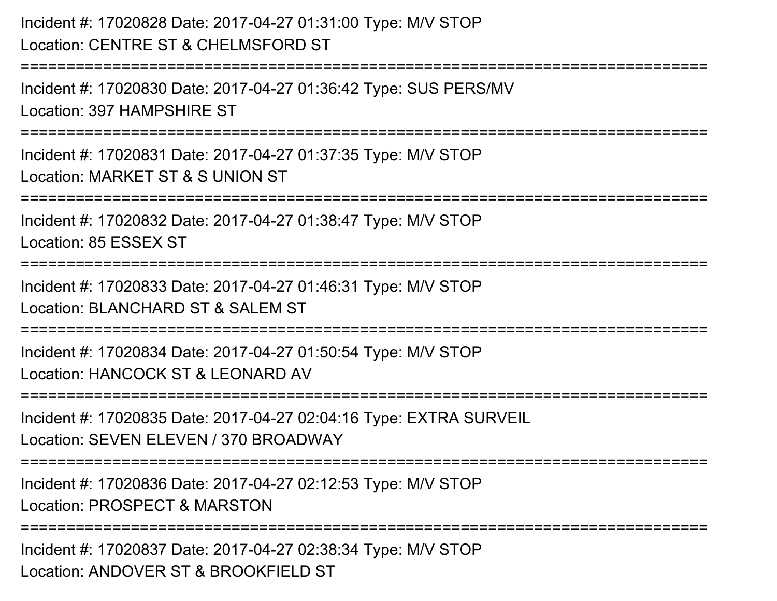Incident #: 17020828 Date: 2017-04-27 01:31:00 Type: M/V STOPLocation: CENTRE ST & CHELMSFORD ST===========================================================================Incident #: 17020830 Date: 2017-04-27 01:36:42 Type: SUS PERS/MVLocation: 397 HAMPSHIRE ST===========================================================================Incident #: 17020831 Date: 2017-04-27 01:37:35 Type: M/V STOPLocation: MARKET ST & S UNION ST===========================================================================Incident #: 17020832 Date: 2017-04-27 01:38:47 Type: M/V STOPLocation: 85 ESSEX ST========================= Incident #: 17020833 Date: 2017-04-27 01:46:31 Type: M/V STOPLocation: BLANCHARD ST & SALEM ST ===========================================================================Incident #: 17020834 Date: 2017-04-27 01:50:54 Type: M/V STOPLocation: HANCOCK ST & LEONARD AV===========================================================================Incident #: 17020835 Date: 2017-04-27 02:04:16 Type: EXTRA SURVEILLocation: SEVEN ELEVEN / 370 BROADWAY===========================================================================Incident #: 17020836 Date: 2017-04-27 02:12:53 Type: M/V STOPLocation: PROSPECT & MARSTON**=============** 

Incident #: 17020837 Date: 2017-04-27 02:38:34 Type: M/V STOPLocation: ANDOVER ST & BROOKFIFLD ST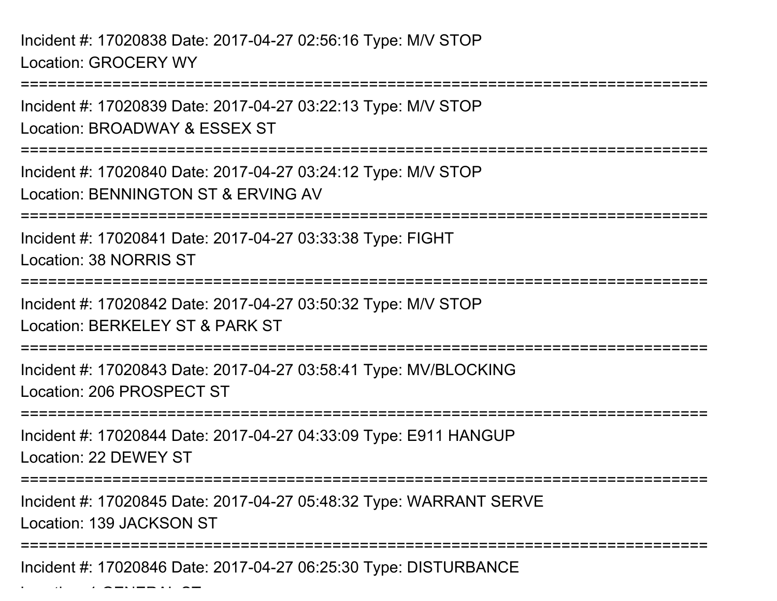. . . . . . <del>. . .</del> . . . <del>.</del> .

===========================================================================Incident #: 17020839 Date: 2017-04-27 03:22:13 Type: M/V STOPLocation: BROADWAY & ESSEX ST===========================================================================Incident #: 17020840 Date: 2017-04-27 03:24:12 Type: M/V STOPLocation: BENNINGTON ST & ERVING AV===========================================================================Incident #: 17020841 Date: 2017-04-27 03:33:38 Type: FIGHTLocation: 38 NORRIS ST===========================================================================Incident #: 17020842 Date: 2017-04-27 03:50:32 Type: M/V STOPLocation: BERKELEY ST & PARK ST===========================================================================Incident #: 17020843 Date: 2017-04-27 03:58:41 Type: MV/BLOCKINGLocation: 206 PROSPECT ST===========================================================================Incident #: 17020844 Date: 2017-04-27 04:33:09 Type: E911 HANGUPLocation: 22 DEWEY ST===========================================================================Incident #: 17020845 Date: 2017-04-27 05:48:32 Type: WARRANT SERVELocation: 139 JACKSON ST============================== Incident #: 17020846 Date: 2017-04-27 06:25:30 Type: DISTURBANCE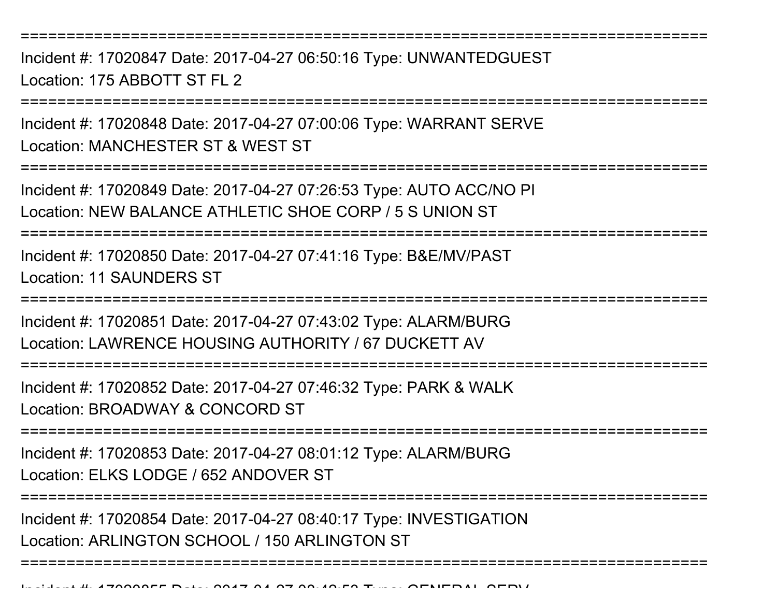Incident #: 17020847 Date: 2017-04-27 06:50:16 Type: UNWANTEDGUESTLocation: 175 ABBOTT ST FL 2

===========================================================================

Incident #: 17020848 Date: 2017-04-27 07:00:06 Type: WARRANT SERVELocation: MANCHESTER ST & WEST ST

===========================================================================

Incident #: 17020849 Date: 2017-04-27 07:26:53 Type: AUTO ACC/NO PILocation: NEW BALANCE ATHLETIC SHOE CORP / 5 S UNION ST

===========================================================================

Incident #: 17020850 Date: 2017-04-27 07:41:16 Type: B&E/MV/PASTLocation: 11 SAUNDERS ST

===========================================================================

Incident #: 17020851 Date: 2017-04-27 07:43:02 Type: ALARM/BURGLocation: LAWRENCE HOUSING AUTHORITY / 67 DUCKETT AV

===========================================================================

Incident #: 17020852 Date: 2017-04-27 07:46:32 Type: PARK & WALKLocation: BROADWAY & CONCORD ST

===========================================================================

Incident #: 17020853 Date: 2017-04-27 08:01:12 Type: ALARM/BURGLocation: ELKS LODGE / 652 ANDOVER ST

===========================================================================

===========================================================================

Incident #: 17020854 Date: 2017-04-27 08:40:17 Type: INVESTIGATIONLocation: ARLINGTON SCHOOL / 150 ARLINGTON ST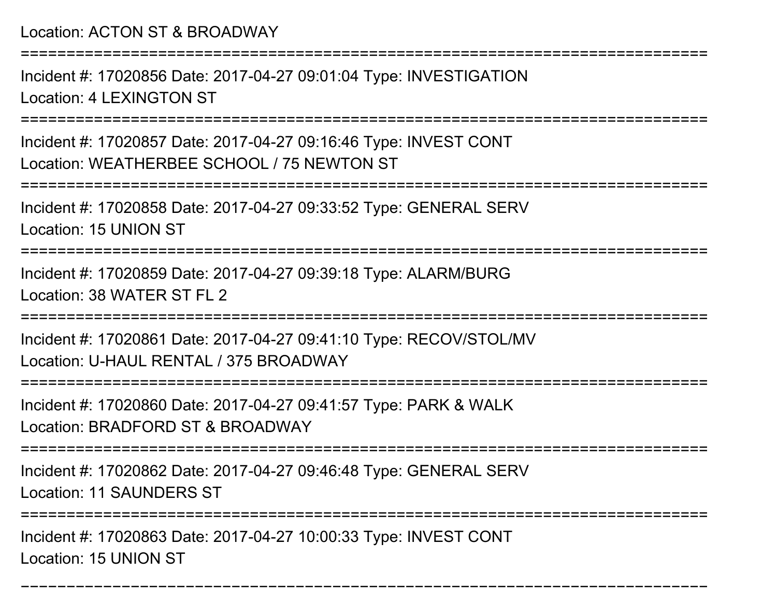Location: ACTON ST & BROADWAY

===========================================================================

Incident #: 17020856 Date: 2017-04-27 09:01:04 Type: INVESTIGATIONLocation: 4 LEXINGTON ST

===========================================================================

Incident #: 17020857 Date: 2017-04-27 09:16:46 Type: INVEST CONTLocation: WEATHERBEE SCHOOL / 75 NEWTON ST

===========================================================================

Incident #: 17020858 Date: 2017-04-27 09:33:52 Type: GENERAL SERVLocation: 15 UNION ST

===========================================================================

Incident #: 17020859 Date: 2017-04-27 09:39:18 Type: ALARM/BURGLocation: 38 WATER ST FL 2

===========================================================================

Incident #: 17020861 Date: 2017-04-27 09:41:10 Type: RECOV/STOL/MVLocation: U-HAUL RENTAL / 375 BROADWAY

===================

Incident #: 17020860 Date: 2017-04-27 09:41:57 Type: PARK & WALK

Location: BRADFORD ST & BROADWAY

===========================================================================

Incident #: 17020862 Date: 2017-04-27 09:46:48 Type: GENERAL SERV

Location: 11 SAUNDERS ST

=======================

===========================================================================

Incident #: 17020863 Date: 2017-04-27 10:00:33 Type: INVEST CONTLocation: 15 UNION ST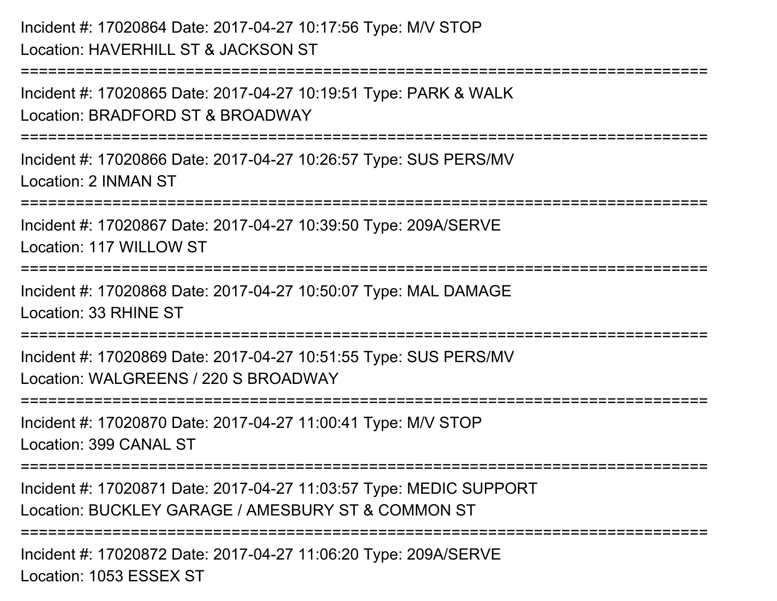```
Incident #: 17020864 Date: 2017-04-27 10:17:56 Type: M/V STOPLocation: HAVERHILL ST & JACKSON ST===========================================================================Incident #: 17020865 Date: 2017-04-27 10:19:51 Type: PARK & WALKLocation: BRADFORD ST & BROADWAY===========================================================================Incident #: 17020866 Date: 2017-04-27 10:26:57 Type: SUS PERS/MVLocation: 2 INMAN ST===========================================================================Incident #: 17020867 Date: 2017-04-27 10:39:50 Type: 209A/SERVELocation: 117 WILLOW ST===========================================================================Incident #: 17020868 Date: 2017-04-27 10:50:07 Type: MAL DAMAGELocation: 33 RHINE ST===========================================================================Incident #: 17020869 Date: 2017-04-27 10:51:55 Type: SUS PERS/MVLocation: WALGREENS / 220 S BROADWAY
===========================================================================Incident #: 17020870 Date: 2017-04-27 11:00:41 Type: M/V STOPLocation: 399 CANAL ST===========================================================================Incident #: 17020871 Date: 2017-04-27 11:03:57 Type: MEDIC SUPPORTLocation: BUCKLEY GARAGE / AMESBURY ST & COMMON ST===========================================================================Incident #: 17020872 Date: 2017-04-27 11:06:20 Type: 209A/SERVELocation: 1053 ESSEX ST
```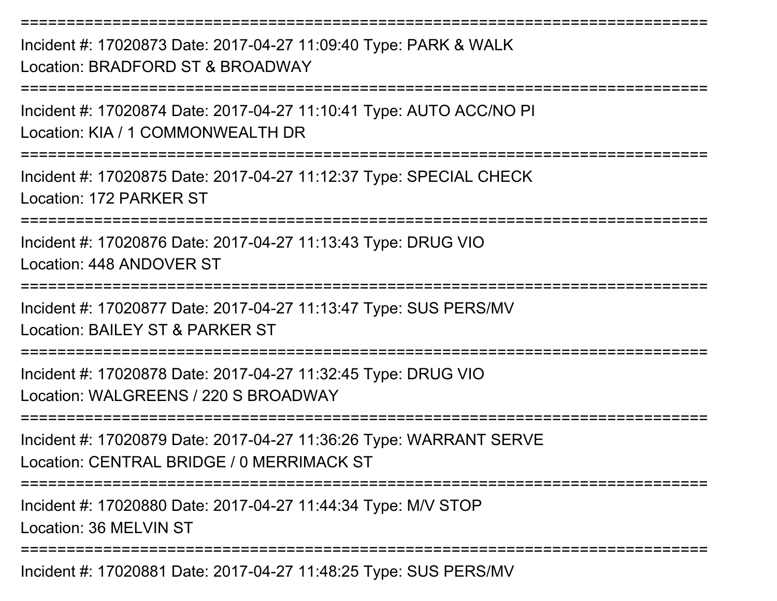Incident #: 17020873 Date: 2017-04-27 11:09:40 Type: PARK & WALKLocation: BRADFORD ST & BROADWAY

===========================================================================

===========================================================================

Incident #: 17020874 Date: 2017-04-27 11:10:41 Type: AUTO ACC/NO PILocation: KIA / 1 COMMONWEALTH DR

===========================================================================

Incident #: 17020875 Date: 2017-04-27 11:12:37 Type: SPECIAL CHECKLocation: 172 PARKER ST

===========================================================================

Incident #: 17020876 Date: 2017-04-27 11:13:43 Type: DRUG VIOLocation: 448 ANDOVER ST

===========================================================================

===========================================================================

Incident #: 17020877 Date: 2017-04-27 11:13:47 Type: SUS PERS/MVLocation: BAILEY ST & PARKER ST

Incident #: 17020878 Date: 2017-04-27 11:32:45 Type: DRUG VIOLocation: WALGREENS / 220 S BROADWAY

===========================================================================

Incident #: 17020879 Date: 2017-04-27 11:36:26 Type: WARRANT SERVELocation: CENTRAL BRIDGE / 0 MERRIMACK ST

===========================================================================

Incident #: 17020880 Date: 2017-04-27 11:44:34 Type: M/V STOP

Location: 36 MELVIN ST

===========================================================================

Incident #: 17020881 Date: 2017-04-27 11:48:25 Type: SUS PERS/MV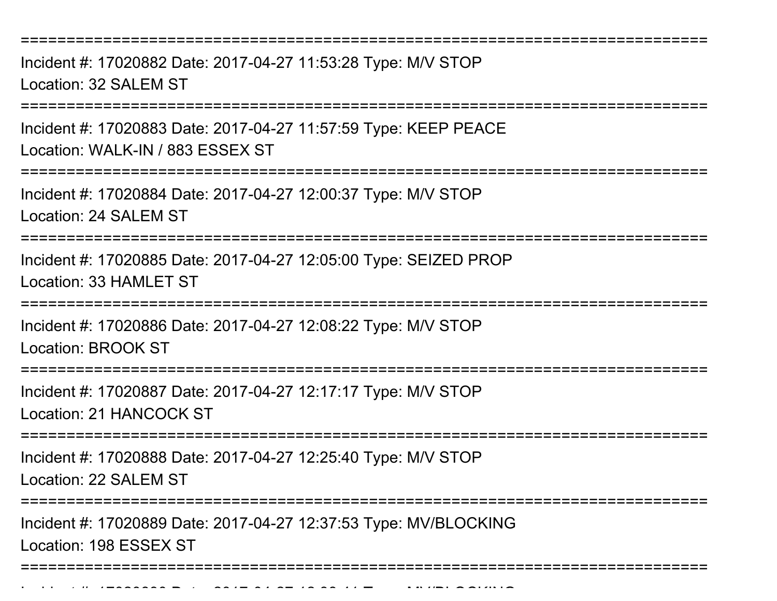Incident #: 17020882 Date: 2017-04-27 11:53:28 Type: M/V STOPLocation: 32 SALEM ST

===========================================================================

Incident #: 17020883 Date: 2017-04-27 11:57:59 Type: KEEP PEACELocation: WALK-IN / 883 ESSEX ST

===========================================================================

Incident #: 17020884 Date: 2017-04-27 12:00:37 Type: M/V STOP

Location: 24 SALEM ST

===========================================================================

Incident #: 17020885 Date: 2017-04-27 12:05:00 Type: SEIZED PROPLocation: 33 HAMLET ST

===========================================================================

Incident #: 17020886 Date: 2017-04-27 12:08:22 Type: M/V STOP

Location: BROOK ST

===========================================================================

Incident #: 17020887 Date: 2017-04-27 12:17:17 Type: M/V STOP

Location: 21 HANCOCK ST

Incident #: 17020890 Date: 2017

===========================================================================

Incident #: 17020888 Date: 2017-04-27 12:25:40 Type: M/V STOP

Location: 22 SALEM ST

===========================================================================

Incident #: 17020889 Date: 2017-04-27 12:37:53 Type: MV/BLOCKINGLocation: 198 ESSEX ST

===========================================================================

<sup>04</sup> 27 12:38:41 Type: MV/BLOCKING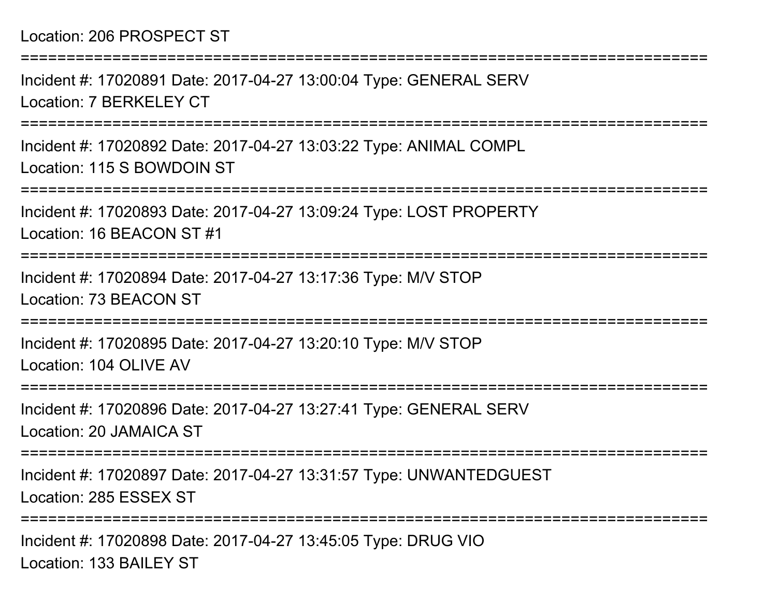## Location: 206 PROSPECT ST

===========================================================================Incident #: 17020891 Date: 2017-04-27 13:00:04 Type: GENERAL SERVLocation: 7 BERKELEY CT===========================================================================Incident #: 17020892 Date: 2017-04-27 13:03:22 Type: ANIMAL COMPLLocation: 115 S BOWDOIN ST===========================================================================Incident #: 17020893 Date: 2017-04-27 13:09:24 Type: LOST PROPERTYLocation: 16 BEACON ST #1===========================================================================Incident #: 17020894 Date: 2017-04-27 13:17:36 Type: M/V STOPLocation: 73 BEACON ST===========================================================================Incident #: 17020895 Date: 2017-04-27 13:20:10 Type: M/V STOPLocation: 104 OLIVE AV===========================================================================Incident #: 17020896 Date: 2017-04-27 13:27:41 Type: GENERAL SERVLocation: 20 JAMAICA ST===========================================================================Incident #: 17020897 Date: 2017-04-27 13:31:57 Type: UNWANTEDGUESTLocation: 285 ESSEX ST===========================================================================Incident #: 17020898 Date: 2017-04-27 13:45:05 Type: DRUG VIO

Location: 133 BAILEY ST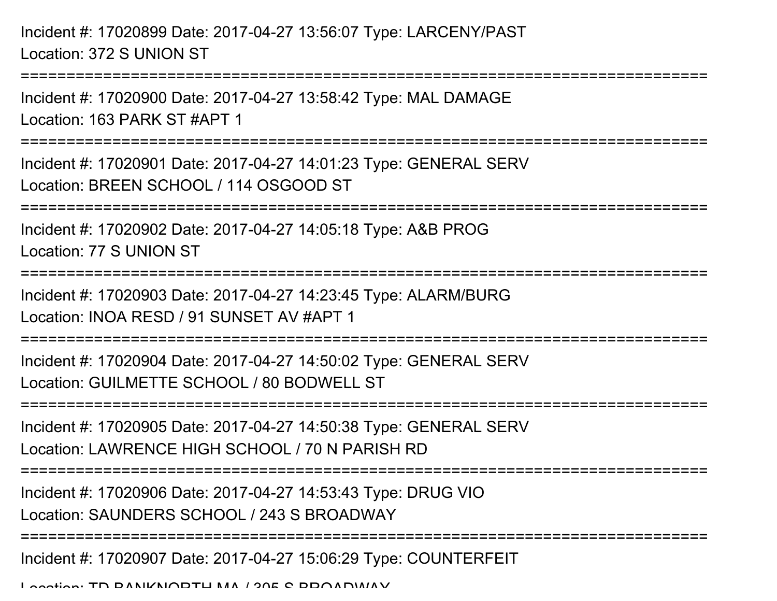Incident #: 17020899 Date: 2017-04-27 13:56:07 Type: LARCENY/PASTLocation: 372 S UNION ST

Incident #: 17020900 Date: 2017-04-27 13:58:42 Type: MAL DAMAGELocation: 163 PARK ST #APT 1

===========================================================================

===========================================================================

Incident #: 17020901 Date: 2017-04-27 14:01:23 Type: GENERAL SERVLocation: BREEN SCHOOL / 114 OSGOOD ST

===========================================================================

Incident #: 17020902 Date: 2017-04-27 14:05:18 Type: A&B PROG

Location: 77 S UNION ST

===========================================================================

Incident #: 17020903 Date: 2017-04-27 14:23:45 Type: ALARM/BURG

Location: INOA RESD / 91 SUNSET AV #APT 1

===========================================================================

Incident #: 17020904 Date: 2017-04-27 14:50:02 Type: GENERAL SERVLocation: GUILMETTE SCHOOL / 80 BODWELL ST

===========================================================================

Incident #: 17020905 Date: 2017-04-27 14:50:38 Type: GENERAL SERV

Location: LAWRENCE HIGH SCHOOL / 70 N PARISH RD

===========================================================================

Incident #: 17020906 Date: 2017-04-27 14:53:43 Type: DRUG VIO

Location: SAUNDERS SCHOOL / 243 S BROADWAY

===========================================================================

Incident #: 17020907 Date: 2017-04-27 15:06:29 Type: COUNTERFEIT

Location: TD BANIKNORTH MA 1205 S BROADWAY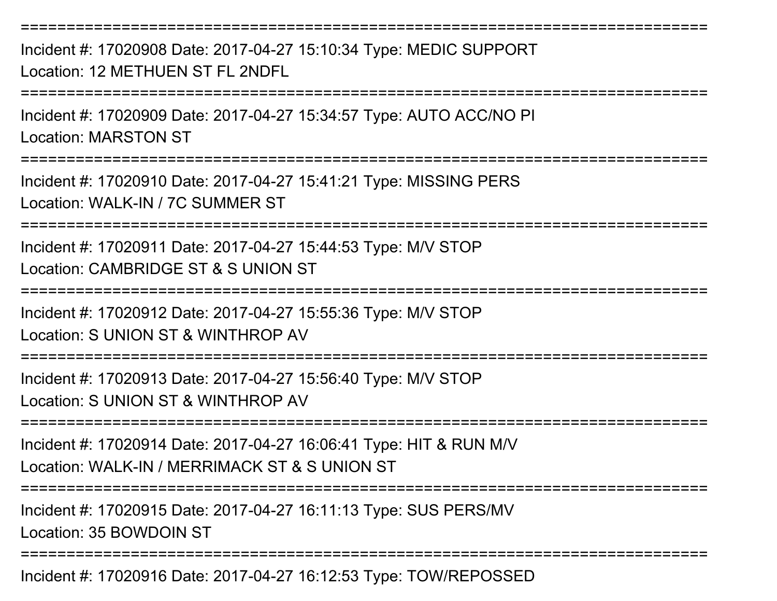Incident #: 17020908 Date: 2017-04-27 15:10:34 Type: MEDIC SUPPORTLocation: 12 METHUEN ST FL 2NDFL

===========================================================================

===========================================================================

Incident #: 17020909 Date: 2017-04-27 15:34:57 Type: AUTO ACC/NO PILocation: MARSTON ST

===========================================================================

Incident #: 17020910 Date: 2017-04-27 15:41:21 Type: MISSING PERSLocation: WALK-IN / 7C SUMMER ST

===========================================================================

Incident #: 17020911 Date: 2017-04-27 15:44:53 Type: M/V STOPLocation: CAMBRIDGE ST & S UNION ST

===========================================================================

Incident #: 17020912 Date: 2017-04-27 15:55:36 Type: M/V STOP

Location: S UNION ST & WINTHROP AV

===========================================================================

Incident #: 17020913 Date: 2017-04-27 15:56:40 Type: M/V STOPLocation: S UNION ST & WINTHROP AV

===========================================================================

Incident #: 17020914 Date: 2017-04-27 16:06:41 Type: HIT & RUN M/VLocation: WALK-IN / MERRIMACK ST & S UNION ST

===========================================================================

Incident #: 17020915 Date: 2017-04-27 16:11:13 Type: SUS PERS/MVLocation: 35 BOWDOIN ST

===========================================================================

Incident #: 17020916 Date: 2017-04-27 16:12:53 Type: TOW/REPOSSED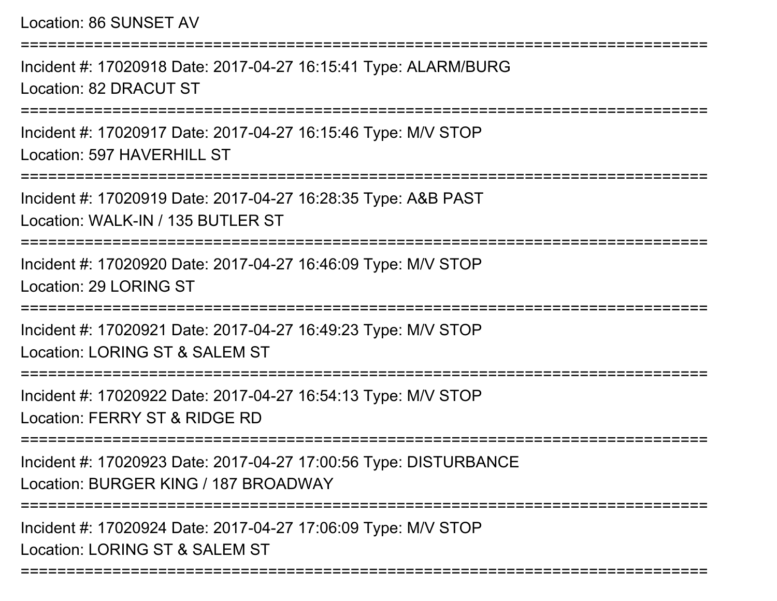Location: 86 SUNSET AV===========================================================================Incident #: 17020918 Date: 2017-04-27 16:15:41 Type: ALARM/BURGLocation: 82 DRACUT ST===========================================================================Incident #: 17020917 Date: 2017-04-27 16:15:46 Type: M/V STOPLocation: 597 HAVERHILL ST===========================================================================Incident #: 17020919 Date: 2017-04-27 16:28:35 Type: A&B PASTLocation: WALK-IN / 135 BUTLER ST===========================================================================Incident #: 17020920 Date: 2017-04-27 16:46:09 Type: M/V STOPLocation: 29 LORING ST===========================================================================Incident #: 17020921 Date: 2017-04-27 16:49:23 Type: M/V STOPLocation: LORING ST & SAI FM ST ===========================================================================Incident #: 17020922 Date: 2017-04-27 16:54:13 Type: M/V STOPLocation: FERRY ST & RIDGE RD ===========================================================================Incident #: 17020923 Date: 2017-04-27 17:00:56 Type: DISTURBANCELocation: BURGER KING / 187 BROADWAY===========================================================================Incident #: 17020924 Date: 2017-04-27 17:06:09 Type: M/V STOPLocation: LORING ST & SALEM ST

===========================================================================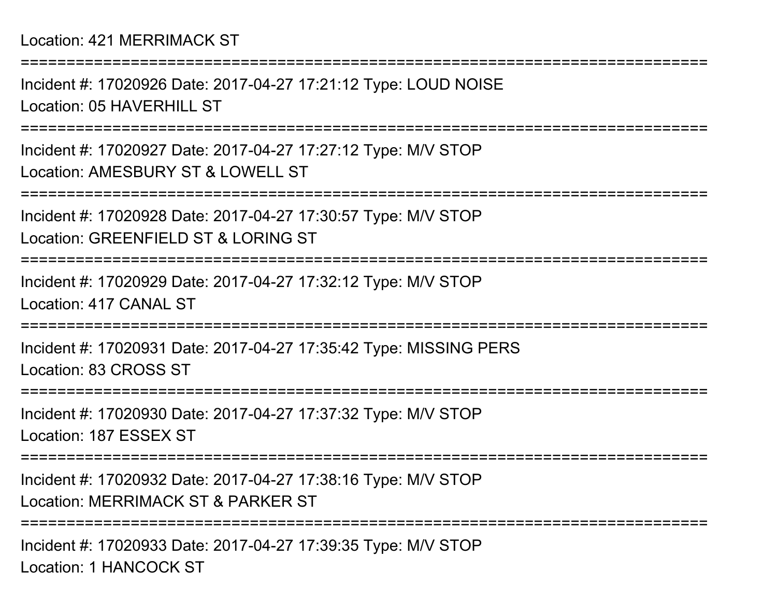Location: 421 MERRIMACK ST

Incident #: 17020926 Date: 2017-04-27 17:21:12 Type: LOUD NOISELocation: 05 HAVERHILL ST

===========================================================================

===========================================================================

Incident #: 17020927 Date: 2017-04-27 17:27:12 Type: M/V STOPLocation: AMESBURY ST & LOWELL ST

===========================================================================

Incident #: 17020928 Date: 2017-04-27 17:30:57 Type: M/V STOPLocation: GREENFIELD ST & LORING ST

===========================================================================

Incident #: 17020929 Date: 2017-04-27 17:32:12 Type: M/V STOPLocation: 417 CANAL ST

===========================================================================

Incident #: 17020931 Date: 2017-04-27 17:35:42 Type: MISSING PERSLocation: 83 CROSS ST

===========================================================================

Incident #: 17020930 Date: 2017-04-27 17:37:32 Type: M/V STOPLocation: 187 ESSEX ST

===========================================================================

Incident #: 17020932 Date: 2017-04-27 17:38:16 Type: M/V STOPLocation: MERRIMACK ST & PARKER ST

===========================================================================

Incident #: 17020933 Date: 2017-04-27 17:39:35 Type: M/V STOPLocation: 1 HANCOCK ST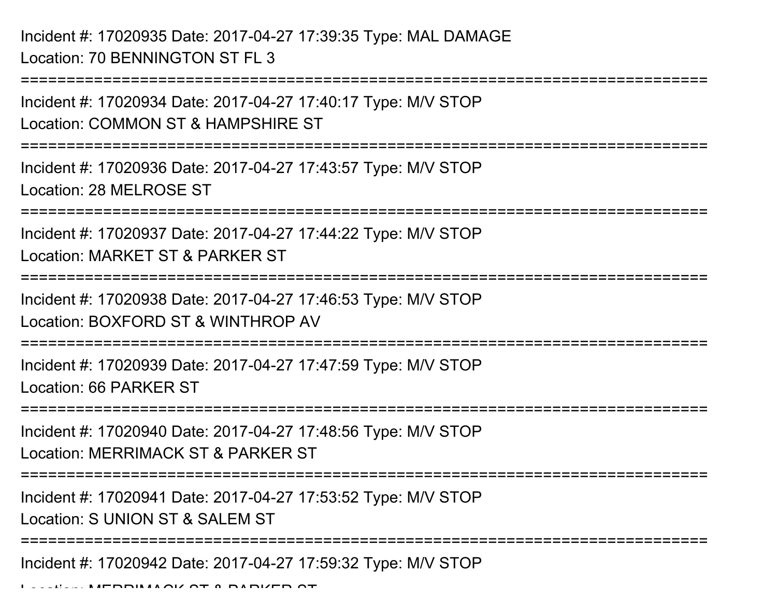Incident #: 17020935 Date: 2017-04-27 17:39:35 Type: MAL DAMAGELocation: 70 BENNINGTON ST FL 3

===========================================================================Incident #: 17020934 Date: 2017-04-27 17:40:17 Type: M/V STOPLocation: COMMON ST & HAMPSHIRE ST===========================================================================Incident #: 17020936 Date: 2017-04-27 17:43:57 Type: M/V STOPLocation: 28 MELROSE ST===========================================================================Incident #: 17020937 Date: 2017-04-27 17:44:22 Type: M/V STOPLocation: MARKET ST & PARKER ST===========================================================================Incident #: 17020938 Date: 2017-04-27 17:46:53 Type: M/V STOPLocation: BOXFORD ST & WINTHROP AV===========================================================================Incident #: 17020939 Date: 2017-04-27 17:47:59 Type: M/V STOPLocation: 66 PARKER ST===========================================================================Incident #: 17020940 Date: 2017-04-27 17:48:56 Type: M/V STOPLocation: MERRIMACK ST & PARKER ST===========================================================================Incident #: 17020941 Date: 2017-04-27 17:53:52 Type: M/V STOPLocation: S UNION ST & SALEM ST ================= Incident #: 17020942 Date: 2017-04-27 17:59:32 Type: M/V STOP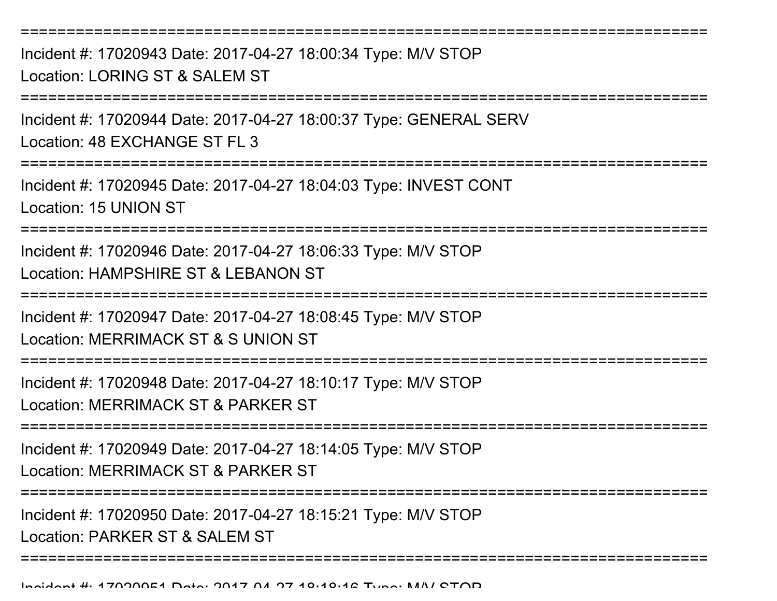Incident #: 17020943 Date: 2017-04-27 18:00:34 Type: M/V STOPLocation: LORING ST & SALEM ST

===========================================================================

Incident #: 17020944 Date: 2017-04-27 18:00:37 Type: GENERAL SERVLocation: 48 EXCHANGE ST FL 3

===========================================================================

Incident #: 17020945 Date: 2017-04-27 18:04:03 Type: INVEST CONTLocation: 15 UNION ST

===========================================================================

Incident #: 17020946 Date: 2017-04-27 18:06:33 Type: M/V STOPLocation: HAMPSHIRE ST & LEBANON ST

===========================================================================

Incident #: 17020947 Date: 2017-04-27 18:08:45 Type: M/V STOP

Location: MERRIMACK ST & S UNION ST

===========================================================================

Incident #: 17020948 Date: 2017-04-27 18:10:17 Type: M/V STOP

Location: MERRIMACK ST & PARKER ST

============================

Incident #: 17020949 Date: 2017-04-27 18:14:05 Type: M/V STOPLocation: MERRIMACK ST & PARKER ST

===========================================================================

Incident #: 17020950 Date: 2017-04-27 18:15:21 Type: M/V STOP

Location: PARKER ST & SALEM ST

===========================================================================

Incident #: 17020951 Date: 2017 <sup>04</sup> 27 18:18:16 Type: M/V STOP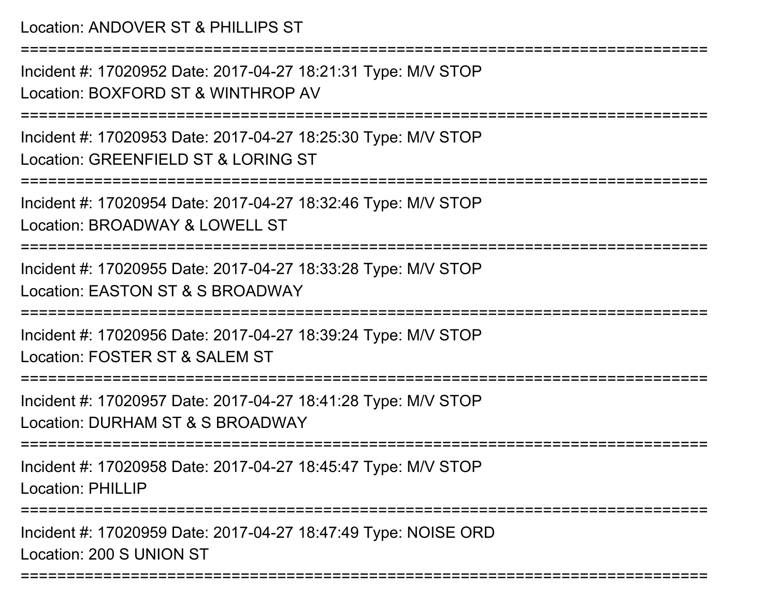## Location: ANDOVER ST & PHILLIPS ST

===========================================================================

Incident #: 17020952 Date: 2017-04-27 18:21:31 Type: M/V STOPLocation: BOXFORD ST & WINTHROP AV

===========================================================================

Incident #: 17020953 Date: 2017-04-27 18:25:30 Type: M/V STOPLocation: GREENFIELD ST & LORING ST

===========================================================================

Incident #: 17020954 Date: 2017-04-27 18:32:46 Type: M/V STOPLocation: BROADWAY & LOWELL ST

===========================================================================

Incident #: 17020955 Date: 2017-04-27 18:33:28 Type: M/V STOP

Location: EASTON ST & S BROADWAY

===========================================================================

Incident #: 17020956 Date: 2017-04-27 18:39:24 Type: M/V STOPLocation: FOSTER ST & SALEM ST

===========================================================================

Incident #: 17020957 Date: 2017-04-27 18:41:28 Type: M/V STOPLocation: DURHAM ST & S BROADWAY

===========================================================================

Incident #: 17020958 Date: 2017-04-27 18:45:47 Type: M/V STOPLocation: PHILLIP

===========================================================================

Incident #: 17020959 Date: 2017-04-27 18:47:49 Type: NOISE ORDLocation: 200 S UNION ST

===========================================================================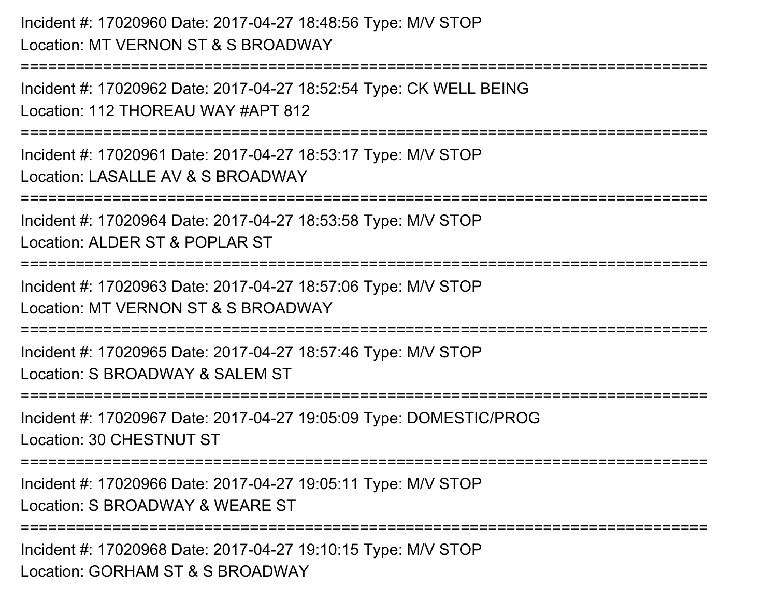Incident #: 17020960 Date: 2017-04-27 18:48:56 Type: M/V STOPLocation: MT VERNON ST & S BROADWAY

Incident #: 17020962 Date: 2017-04-27 18:52:54 Type: CK WELL BEINGLocation: 112 THOREAU WAY #APT 812

===========================================================================

===========================================================================

Incident #: 17020961 Date: 2017-04-27 18:53:17 Type: M/V STOPLocation: LASALLE AV & S BROADWAY

===========================================================================

Incident #: 17020964 Date: 2017-04-27 18:53:58 Type: M/V STOP

Location: ALDER ST & POPLAR ST

===========================================================================

Incident #: 17020963 Date: 2017-04-27 18:57:06 Type: M/V STOPLocation: MT VERNON ST & S BROADWAY

**========================** 

Incident #: 17020965 Date: 2017-04-27 18:57:46 Type: M/V STOPLocation: S BROADWAY & SALEM ST

===========================================================================

Incident #: 17020967 Date: 2017-04-27 19:05:09 Type: DOMESTIC/PROGLocation: 30 CHESTNUT ST

===========================================================================

Incident #: 17020966 Date: 2017-04-27 19:05:11 Type: M/V STOP

Location: S BROADWAY & WEARE ST

**==============** 

Incident #: 17020968 Date: 2017-04-27 19:10:15 Type: M/V STOPLocation: GORHAM ST & S BROADWAY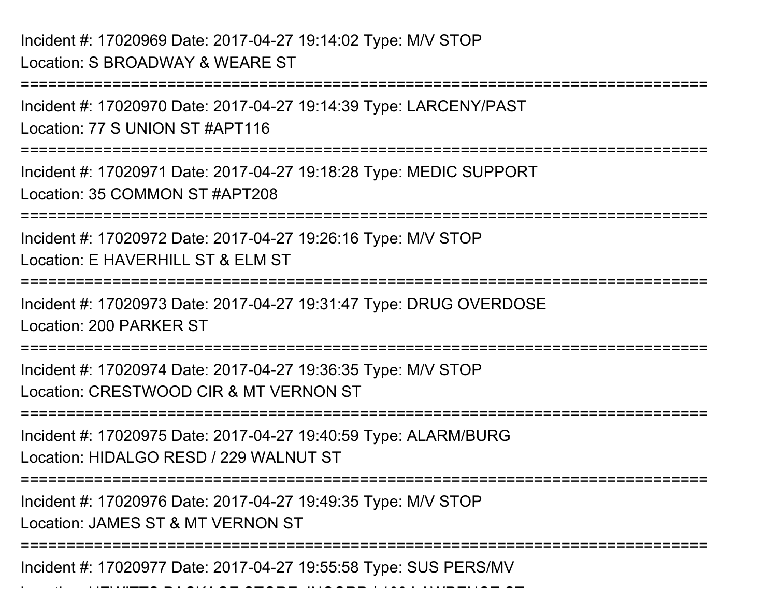===========================================================================Incident #: 17020970 Date: 2017-04-27 19:14:39 Type: LARCENY/PASTLocation: 77 S UNION ST #APT116===========================================================================Incident #: 17020971 Date: 2017-04-27 19:18:28 Type: MEDIC SUPPORTLocation: 35 COMMON ST #APT208===========================================================================Incident #: 17020972 Date: 2017-04-27 19:26:16 Type: M/V STOPLocation: E HAVERHILL ST & FLM ST ===========================================================================Incident #: 17020973 Date: 2017-04-27 19:31:47 Type: DRUG OVERDOSELocation: 200 PARKER ST===========================================================================Incident #: 17020974 Date: 2017-04-27 19:36:35 Type: M/V STOPLocation: CRESTWOOD CIR & MT VERNON ST===========================================================================Incident #: 17020975 Date: 2017-04-27 19:40:59 Type: ALARM/BURGLocation: HIDALGO RESD / 229 WALNUT ST===========================================================================Incident #: 17020976 Date: 2017-04-27 19:49:35 Type: M/V STOPLocation: JAMES ST & MT VERNON ST===========================================================================

Incident #: 17020977 Date: 2017-04-27 19:55:58 Type: SUS PERS/MV

Location: HEWITTS PACKAGE STORE, INCORPRIED / 109 LAWRENCE STORE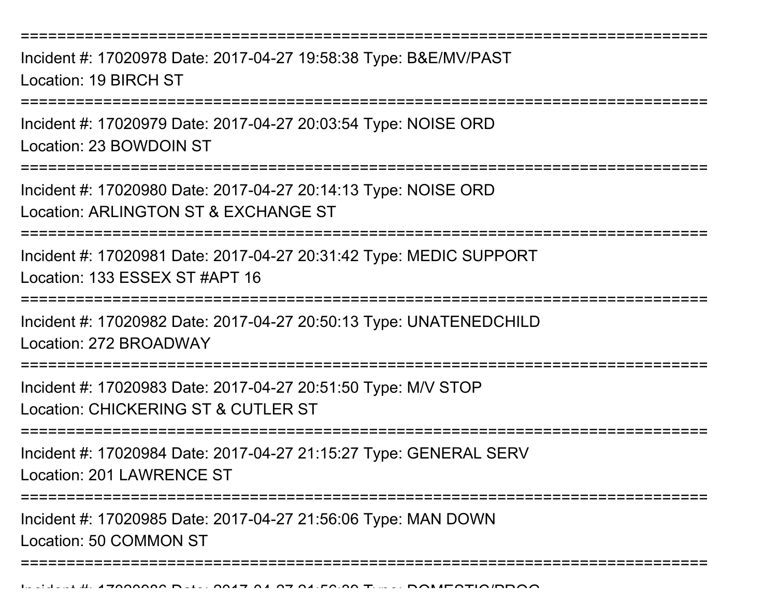Incident #: 17020978 Date: 2017-04-27 19:58:38 Type: B&E/MV/PASTLocation: 19 BIRCH ST

===========================================================================

Incident #: 17020979 Date: 2017-04-27 20:03:54 Type: NOISE ORDLocation: 23 BOWDOIN ST

===========================================================================

Incident #: 17020980 Date: 2017-04-27 20:14:13 Type: NOISE ORDLocation: ARLINGTON ST & EXCHANGE ST

===========================================================================

Incident #: 17020981 Date: 2017-04-27 20:31:42 Type: MEDIC SUPPORTLocation: 133 ESSEX ST #APT 16

===========================================================================

Incident #: 17020982 Date: 2017-04-27 20:50:13 Type: UNATENEDCHILDLocation: 272 BROADWAY

===========================================================================

Incident #: 17020983 Date: 2017-04-27 20:51:50 Type: M/V STOPLocation: CHICKERING ST & CUTLER ST

===========================================================================

Incident #: 17020984 Date: 2017-04-27 21:15:27 Type: GENERAL SERVLocation: 201 LAWRENCE ST

================

===========================================================================

Incident #: 17020985 Date: 2017-04-27 21:56:06 Type: MAN DOWN

Location: 50 COMMON ST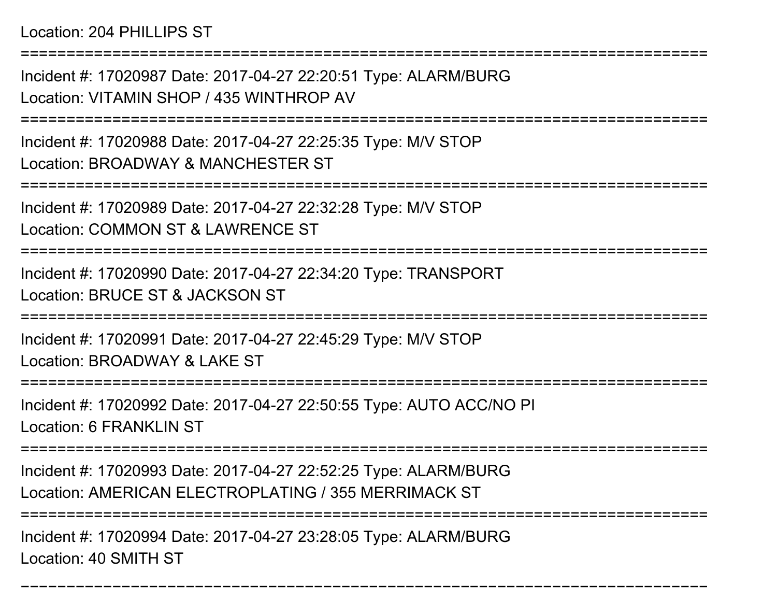Location: 204 PHILLIPS ST

Incident #: 17020987 Date: 2017-04-27 22:20:51 Type: ALARM/BURGLocation: VITAMIN SHOP / 435 WINTHROP AV

===========================================================================

===========================================================================

Incident #: 17020988 Date: 2017-04-27 22:25:35 Type: M/V STOPLocation: BROADWAY & MANCHESTER ST

===========================================================================

Incident #: 17020989 Date: 2017-04-27 22:32:28 Type: M/V STOP

Location: COMMON ST & LAWRENCE ST

===========================================================================

Incident #: 17020990 Date: 2017-04-27 22:34:20 Type: TRANSPORTLocation: BRUCE ST & JACKSON ST

===========================================================================

Incident #: 17020991 Date: 2017-04-27 22:45:29 Type: M/V STOPLocation: BROADWAY & LAKE ST

===========================================================================

Incident #: 17020992 Date: 2017-04-27 22:50:55 Type: AUTO ACC/NO PILocation: 6 FRANKLIN ST

===========================================================================

Incident #: 17020993 Date: 2017-04-27 22:52:25 Type: ALARM/BURGLocation: AMERICAN ELECTROPLATING / 355 MERRIMACK ST

===========================================================================

===========================================================================

Incident #: 17020994 Date: 2017-04-27 23:28:05 Type: ALARM/BURGLocation: 40 SMITH ST